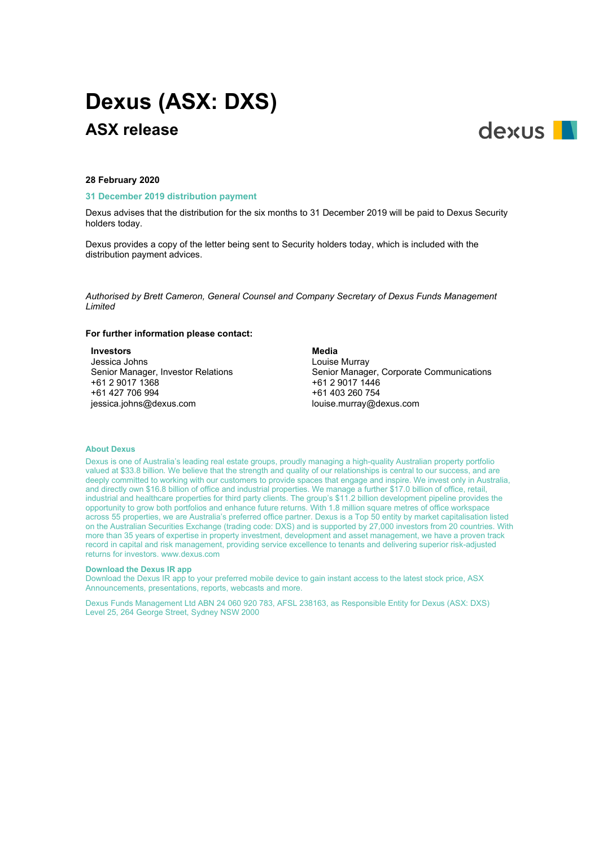# **Dexus (ASX: DXS) ASX release**



#### **28 February 2020**

#### **31 December 2019 distribution payment**

Dexus advises that the distribution for the six months to 31 December 2019 will be paid to Dexus Security holders today.

Dexus provides a copy of the letter being sent to Security holders today, which is included with the distribution payment advices.

*Authorised by Brett Cameron, General Counsel and Company Secretary of Dexus Funds Management Limited*

#### **For further information please contact:**

#### **Investors**

Jessica Johns Senior Manager, Investor Relations +61 2 9017 1368 +61 427 706 994 jessica.johns@dexus.com

**Media** Louise Murray Senior Manager, Corporate Communications +61 2 9017 1446 +61 403 260 754 louise.murray@dexus.com

#### **About Dexus**

Dexus is one of Australia's leading real estate groups, proudly managing a high-quality Australian property portfolio valued at \$33.8 billion. We believe that the strength and quality of our relationships is central to our success, and are deeply committed to working with our customers to provide spaces that engage and inspire. We invest only in Australia, and directly own \$16.8 billion of office and industrial properties. We manage a further \$17.0 billion of office, retail, industrial and healthcare properties for third party clients. The group's \$11.2 billion development pipeline provides the opportunity to grow both portfolios and enhance future returns. With 1.8 million square metres of office workspace across 55 properties, we are Australia's preferred office partner. Dexus is a Top 50 entity by market capitalisation listed on the Australian Securities Exchange (trading code: DXS) and is supported by 27,000 investors from 20 countries. With more than 35 years of expertise in property investment, development and asset management, we have a proven track record in capital and risk management, providing service excellence to tenants and delivering superior risk-adjusted returns for investors. www.dexus.com

#### **Download the Dexus IR app**

Download the Dexus IR app to your preferred mobile device to gain instant access to the latest stock price, ASX Announcements, presentations, reports, webcasts and more.

Dexus Funds Management Ltd ABN 24 060 920 783, AFSL 238163, as Responsible Entity for Dexus (ASX: DXS) Level 25, 264 George Street, Sydney NSW 2000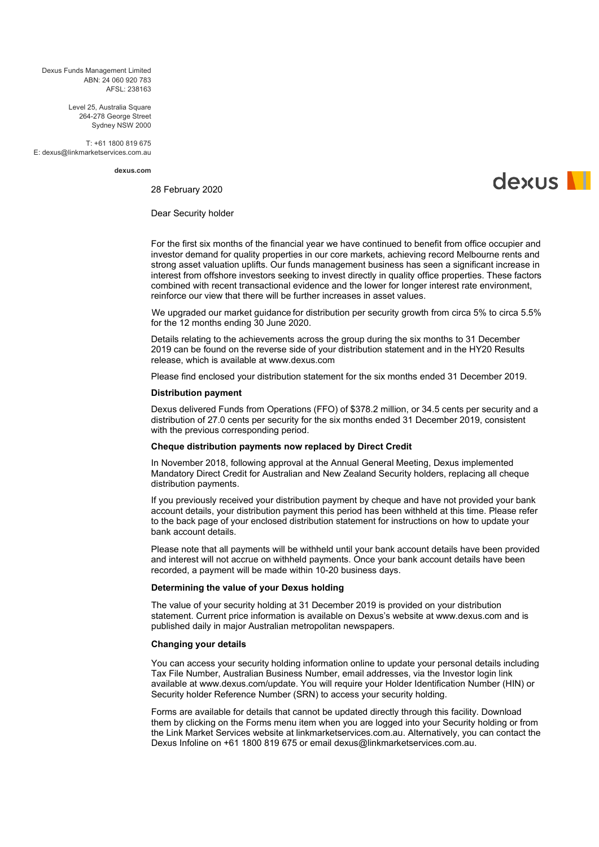Dexus Funds Management Limited ABN: 24 060 920 783  $\Delta$ FSL: 238163

> Level 25, Australia Square 264-278 George Street Sydney NSW 2000

T: +61 1800 819 675 E: dexus@linkmarketservices.com.au

**dexus.com**

28 February 2020

dexus **N** 

Dear Security holder

For the first six months of the financial year we have continued to benefit from office occupier and investor demand for quality properties in our core markets, achieving record Melbourne rents and strong asset valuation uplifts. Our funds management business has seen a significant increase in interest from offshore investors seeking to invest directly in quality office properties. These factors combined with recent transactional evidence and the lower for longer interest rate environment, reinforce our view that there will be further increases in asset values.

[We u](#page-2-0)pgraded our market guidance for distribution per security growth from circa 5% to circa 5.5% for the 12 months ending 30 June 2020.

Details relating to the achievements across the group during the six months to 31 December 2019 can be found on the reverse side of your distribution statement and in the HY20 Results release, which is available at www.dexus.com

Please find enclosed your distribution statement for the six months ended 31 December 2019.

#### **Distribution payment**

Dexus delivered Funds from Operations (FFO) of \$378.2 million, or 34.5 cents per security and a distribution of 27.0 cents per security for the six months ended 31 December 2019, consistent with the previous corresponding period.

## **Cheque distribution payments now replaced by Direct Credit**

In November 2018, following approval at the Annual General Meeting, Dexus implemented Mandatory Direct Credit for Australian and New Zealand Security holders, replacing all cheque distribution payments.

If you previously received your distribution payment by cheque and have not provided your bank account details, your distribution payment this period has been withheld at this time. Please refer to the back page of your enclosed distribution statement for instructions on how to update your bank account details.

Please note that all payments will be withheld until your bank account details have been provided and interest will not accrue on withheld payments. Once your bank account details have been recorded, a payment will be made within 10-20 business days.

## **Determining the value of your Dexus holding**

The value of your security holding at 31 December 2019 is provided on your distribution statement. Current price information is available on Dexus's website at www.dexus.com and is published daily in major Australian metropolitan newspapers.

## **Changing your details**

You can access your security holding information online to update your personal details including Tax File Number, Australian Business Number, email addresses, via the Investor login link available at www.dexus.com/update. You will require your Holder Identification Number (HIN) or Security holder Reference Number (SRN) to access your security holding.

Forms are available for details that cannot be updated directly through this facility. Download them by clicking on the Forms menu item when you are logged into your Security holding or from the Link Market Services website at linkmarketservices.com.au. Alternatively, you can contact the Dexus Infoline on +61 1800 819 675 or email dexus@linkmarketservices.com.au.